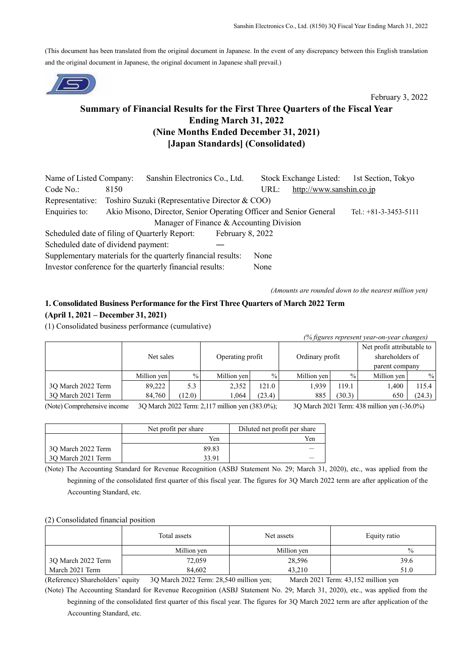(This document has been translated from the original document in Japanese. In the event of any discrepancy between this English translation and the original document in Japanese, the original document in Japanese shall prevail.)



# February 3, 2022

# **Summary of Financial Results for the First Three Quarters of the Fiscal Year Ending March 31, 2022 (Nine Months Ended December 31, 2021) [Japan Standards] (Consolidated)**

| Name of Listed Company:                                              |                                          | Sanshin Electronics Co., Ltd.                                      |                  |      | Stock Exchange Listed:   | 1st Section, Tokyo      |
|----------------------------------------------------------------------|------------------------------------------|--------------------------------------------------------------------|------------------|------|--------------------------|-------------------------|
| Code No.                                                             | 8150                                     |                                                                    |                  | URL: | http://www.sanshin.co.jp |                         |
| Representative:                                                      |                                          | Toshiro Suzuki (Representative Director & COO)                     |                  |      |                          |                         |
| Enquiries to:                                                        |                                          | Akio Misono, Director, Senior Operating Officer and Senior General |                  |      |                          | Tel.: $+81-3-3453-5111$ |
|                                                                      | Manager of Finance & Accounting Division |                                                                    |                  |      |                          |                         |
| Scheduled date of filing of Quarterly Report:                        |                                          |                                                                    | February 8, 2022 |      |                          |                         |
| Scheduled date of dividend payment:                                  |                                          |                                                                    |                  |      |                          |                         |
| Supplementary materials for the quarterly financial results:<br>None |                                          |                                                                    |                  |      |                          |                         |
|                                                                      |                                          | Investor conference for the quarterly financial results:           |                  | None |                          |                         |

*(Amounts are rounded down to the nearest million yen)*

*(% figures represent year-on-year changes)*

# **1. Consolidated Business Performance for the First Three Quarters of March 2022 Term (April 1, 2021 – December 31, 2021)**

(1) Consolidated business performance (cumulative)

| <i>o</i> jigures represent year-on-year changes) |             |               |                  |        |                 |               |                            |        |
|--------------------------------------------------|-------------|---------------|------------------|--------|-----------------|---------------|----------------------------|--------|
|                                                  | Net sales   |               | Operating profit |        |                 |               | Net profit attributable to |        |
|                                                  |             |               |                  |        | Ordinary profit |               | shareholders of            |        |
|                                                  |             |               |                  |        |                 |               | parent company             |        |
|                                                  | Million yen | $\frac{0}{0}$ | Million yen      | $\%$   | Million yen     | $\frac{0}{0}$ | Million yen                | $\%$   |
| 3Q March 2022 Term                               | 89,222      | 5.3           | 2,352            | 121.0  | 1,939           | 119.1         | 1.400                      | 115.4  |
| 30 March 2021 Term                               | 84,760      | (12.0)        | 1.064            | (23.4) | 885             | (30.3)        | 650                        | (24.3) |

(Note) Comprehensive income 3Q March 2022 Term: 2,117 million yen (383.0%); 3Q March 2021 Term: 438 million yen (-36.0%)

|                    | Net profit per share | Diluted net profit per share |
|--------------------|----------------------|------------------------------|
|                    | Yen                  | Yen                          |
| 3Q March 2022 Term | 89.83                |                              |
| 30 March 2021 Term | 33 91                |                              |

(Note) The Accounting Standard for Revenue Recognition (ASBJ Statement No. 29; March 31, 2020), etc., was applied from the beginning of the consolidated first quarter of this fiscal year. The figures for 3Q March 2022 term are after application of the Accounting Standard, etc.

### (2) Consolidated financial position

|                    | Total assets | Net assets  | Equity ratio |
|--------------------|--------------|-------------|--------------|
|                    | Million yen  | Million yen | $\%$         |
| 3Q March 2022 Term | 72,059       | 28,596      | 39.6         |
| March 2021 Term    | 84.602       | 43,210      | 51.0         |

(Reference) Shareholders' equity 3Q March 2022 Term: 28,540 million yen; March 2021 Term: 43,152 million yen

(Note) The Accounting Standard for Revenue Recognition (ASBJ Statement No. 29; March 31, 2020), etc., was applied from the beginning of the consolidated first quarter of this fiscal year. The figures for 3Q March 2022 term are after application of the Accounting Standard, etc.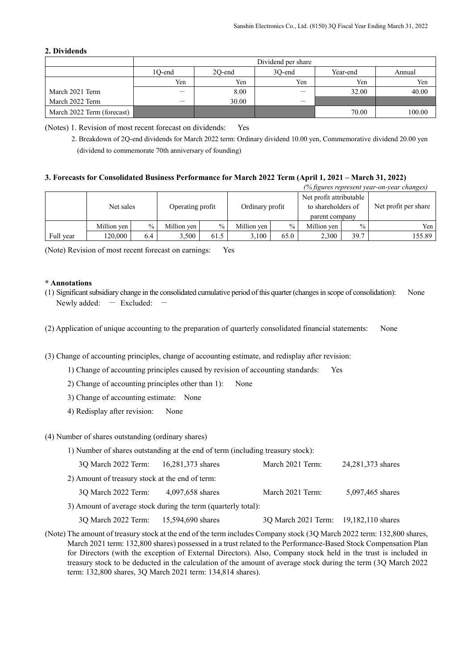## **2. Dividends**

|                            | Dividend per share |        |        |          |        |  |  |
|----------------------------|--------------------|--------|--------|----------|--------|--|--|
|                            | 10-end             | 20-end | 30-end | Year-end | Annual |  |  |
|                            | Yen                | Yen    | Yen    | Yen      | Yen    |  |  |
| March 2021 Term            |                    | 8.00   | —      | 32.00    | 40.00  |  |  |
| March 2022 Term            | —                  | 30.00  | —      |          |        |  |  |
| March 2022 Term (forecast) |                    |        |        | 70.00    | 100.00 |  |  |

(Notes) 1. Revision of most recent forecast on dividends: Yes

## **3. Forecasts for Consolidated Business Performance for March 2022 Term (April 1, 2021 – March 31, 2022)**

|           |             |      |                  |      |                 |               |                                                                 |               | (% figures represent year-on-year changes) |
|-----------|-------------|------|------------------|------|-----------------|---------------|-----------------------------------------------------------------|---------------|--------------------------------------------|
|           | Net sales   |      | Operating profit |      | Ordinary profit |               | Net profit attributable<br>to shareholders of<br>parent company |               | Net profit per share                       |
|           | Million yen | $\%$ | Million ven      | $\%$ | Million yen     | $\frac{0}{0}$ | Million yen                                                     | $\frac{0}{0}$ | Yen                                        |
| Full year | 120,000     | 6.4  | 3,500            | 61.5 | 3.100           | 65.0          | 2,300                                                           | 39.7          | 155.89                                     |

(Note) Revision of most recent forecast on earnings: Yes

### **\* Annotations**

- (1) Significant subsidiary change in the consolidated cumulative period of this quarter (changes in scope of consolidation): None Newly added:  $-$  Excluded:
- (2) Application of unique accounting to the preparation of quarterly consolidated financial statements: None
- (3) Change of accounting principles, change of accounting estimate, and redisplay after revision:
	- 1) Change of accounting principles caused by revision of accounting standards: Yes
	- 2) Change of accounting principles other than 1): None
	- 3) Change of accounting estimate: None
	- 4) Redisplay after revision: None

#### (4) Number of shares outstanding (ordinary shares)

1) Number of shares outstanding at the end of term (including treasury stock):

| 3Q March 2022 Term:                                           | 16,281,373 shares | March 2021 Term: | 24,281,373 shares |  |  |  |  |
|---------------------------------------------------------------|-------------------|------------------|-------------------|--|--|--|--|
| 2) Amount of treasury stock at the end of term:               |                   |                  |                   |  |  |  |  |
| 3Q March 2022 Term:                                           | 4,097,658 shares  | March 2021 Term: | 5,097,465 shares  |  |  |  |  |
| 3) Amount of average stock during the term (quarterly total): |                   |                  |                   |  |  |  |  |

3Q March 2022 Term: 15,594,690 shares 3Q March 2021 Term: 19,182,110 shares

(Note) The amount of treasury stock at the end of the term includes Company stock (3Q March 2022 term: 132,800 shares, March 2021 term: 132,800 shares) possessed in a trust related to the Performance-Based Stock Compensation Plan for Directors (with the exception of External Directors). Also, Company stock held in the trust is included in treasury stock to be deducted in the calculation of the amount of average stock during the term (3Q March 2022 term: 132,800 shares, 3Q March 2021 term: 134,814 shares).

<sup>2.</sup> Breakdown of 2Q-end dividends for March 2022 term: Ordinary dividend 10.00 yen, Commemorative dividend 20.00 yen (dividend to commemorate 70th anniversary of founding)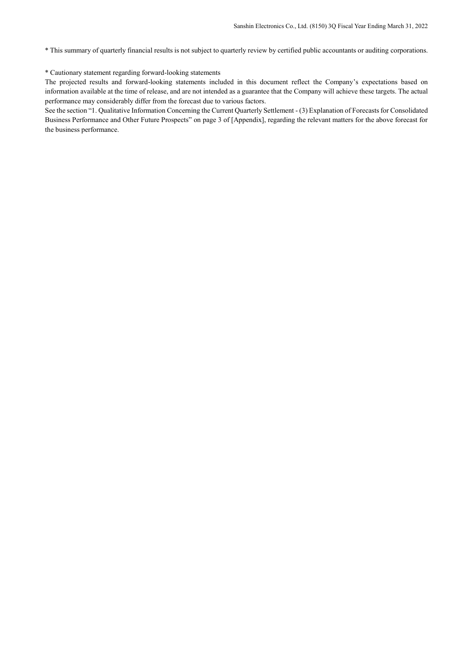\* This summary of quarterly financial results is not subject to quarterly review by certified public accountants or auditing corporations.

#### \* Cautionary statement regarding forward-looking statements

The projected results and forward-looking statements included in this document reflect the Company's expectations based on information available at the time of release, and are not intended as a guarantee that the Company will achieve these targets. The actual performance may considerably differ from the forecast due to various factors.

See the section "1. Qualitative Information Concerning the Current Quarterly Settlement - (3) Explanation of Forecasts for Consolidated Business Performance and Other Future Prospects" on page 3 of [Appendix], regarding the relevant matters for the above forecast for the business performance.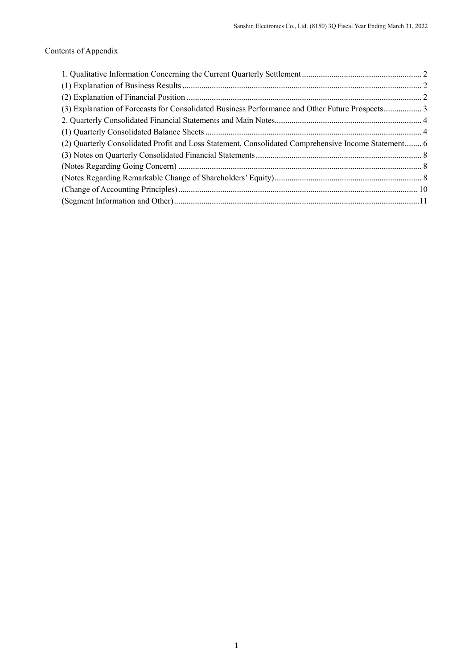# Contents of Appendix

| (2) Quarterly Consolidated Profit and Loss Statement, Consolidated Comprehensive Income Statement 6 |  |
|-----------------------------------------------------------------------------------------------------|--|
|                                                                                                     |  |
|                                                                                                     |  |
|                                                                                                     |  |
|                                                                                                     |  |
|                                                                                                     |  |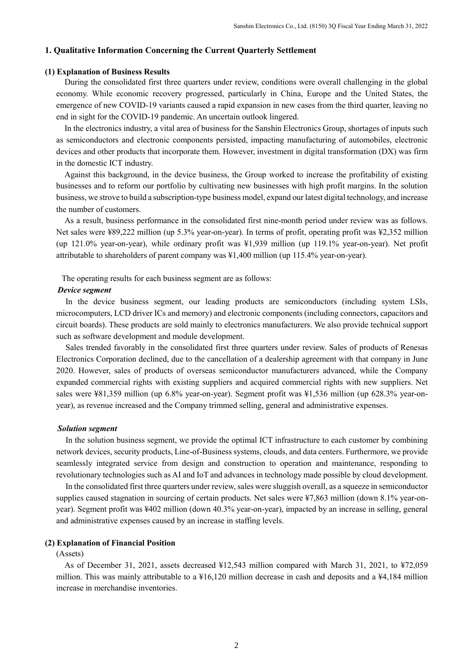## <span id="page-4-0"></span>**1. Qualitative Information Concerning the Current Quarterly Settlement**

## <span id="page-4-1"></span>**(1) Explanation of Business Results**

During the consolidated first three quarters under review, conditions were overall challenging in the global economy. While economic recovery progressed, particularly in China, Europe and the United States, the emergence of new COVID-19 variants caused a rapid expansion in new cases from the third quarter, leaving no end in sight for the COVID-19 pandemic. An uncertain outlook lingered.

In the electronics industry, a vital area of business for the Sanshin Electronics Group, shortages of inputs such as semiconductors and electronic components persisted, impacting manufacturing of automobiles, electronic devices and other products that incorporate them. However, investment in digital transformation (DX) was firm in the domestic ICT industry.

Against this background, in the device business, the Group worked to increase the profitability of existing businesses and to reform our portfolio by cultivating new businesses with high profit margins. In the solution business, we strove to build a subscription-type business model, expand our latest digital technology, and increase the number of customers.

As a result, business performance in the consolidated first nine-month period under review was as follows. Net sales were ¥89,222 million (up 5.3% year-on-year). In terms of profit, operating profit was ¥2,352 million (up 121.0% year-on-year), while ordinary profit was ¥1,939 million (up 119.1% year-on-year). Net profit attributable to shareholders of parent company was ¥1,400 million (up 115.4% year-on-year).

The operating results for each business segment are as follows:

## *Device segment*

In the device business segment, our leading products are semiconductors (including system LSIs, microcomputers, LCD driver ICs and memory) and electronic components (including connectors, capacitors and circuit boards). These products are sold mainly to electronics manufacturers. We also provide technical support such as software development and module development.

Sales trended favorably in the consolidated first three quarters under review. Sales of products of Renesas Electronics Corporation declined, due to the cancellation of a dealership agreement with that company in June 2020. However, sales of products of overseas semiconductor manufacturers advanced, while the Company expanded commercial rights with existing suppliers and acquired commercial rights with new suppliers. Net sales were ¥81,359 million (up 6.8% year-on-year). Segment profit was ¥1,536 million (up 628.3% year-onyear), as revenue increased and the Company trimmed selling, general and administrative expenses.

#### *Solution segment*

In the solution business segment, we provide the optimal ICT infrastructure to each customer by combining network devices, security products, Line-of-Business systems, clouds, and data centers. Furthermore, we provide seamlessly integrated service from design and construction to operation and maintenance, responding to revolutionary technologies such as AI and IoT and advances in technology made possible by cloud development.

In the consolidated first three quarters under review, sales were sluggish overall, as a squeeze in semiconductor supplies caused stagnation in sourcing of certain products. Net sales were ¥7,863 million (down 8.1% year-onyear). Segment profit was ¥402 million (down 40.3% year-on-year), impacted by an increase in selling, general and administrative expenses caused by an increase in staffing levels.

## <span id="page-4-2"></span>**(2) Explanation of Financial Position**

## (Assets)

As of December 31, 2021, assets decreased ¥12,543 million compared with March 31, 2021, to ¥72,059 million. This was mainly attributable to a ¥16,120 million decrease in cash and deposits and a ¥4,184 million increase in merchandise inventories.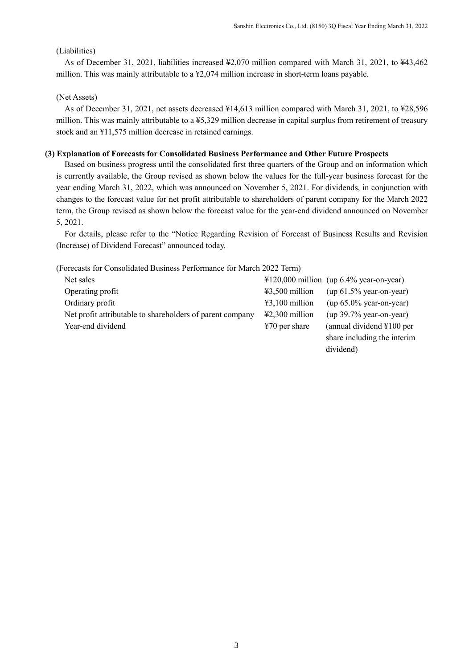dividend)

# (Liabilities)

As of December 31, 2021, liabilities increased ¥2,070 million compared with March 31, 2021, to ¥43,462 million. This was mainly attributable to a ¥2,074 million increase in short-term loans payable.

# (Net Assets)

As of December 31, 2021, net assets decreased ¥14,613 million compared with March 31, 2021, to ¥28,596 million. This was mainly attributable to a ¥5,329 million decrease in capital surplus from retirement of treasury stock and an ¥11,575 million decrease in retained earnings.

## <span id="page-5-0"></span>**(3) Explanation of Forecasts for Consolidated Business Performance and Other Future Prospects**

Based on business progress until the consolidated first three quarters of the Group and on information which is currently available, the Group revised as shown below the values for the full-year business forecast for the year ending March 31, 2022, which was announced on November 5, 2021. For dividends, in conjunction with changes to the forecast value for net profit attributable to shareholders of parent company for the March 2022 term, the Group revised as shown below the forecast value for the year-end dividend announced on November 5, 2021.

For details, please refer to the "Notice Regarding Revision of Forecast of Business Results and Revision (Increase) of Dividend Forecast" announced today.

(Forecasts for Consolidated Business Performance for March 2022 Term)

| Net sales                                                 |                          | $\text{\#120,000}$ million (up 6.4% year-on-year) |
|-----------------------------------------------------------|--------------------------|---------------------------------------------------|
| Operating profit                                          | $43,500$ million         | $(up 61.5\% year-on-year)$                        |
| Ordinary profit                                           | $43,100$ million         | $(up 65.0\% year-on-year)$                        |
| Net profit attributable to shareholders of parent company | $\text{\#2,300}$ million | $(up 39.7\% year-on-year)$                        |
| Year-end dividend                                         | $\text{\#}70$ per share  | (annual dividend $\text{\textsterling}100$ per    |
|                                                           |                          | share including the interim                       |

3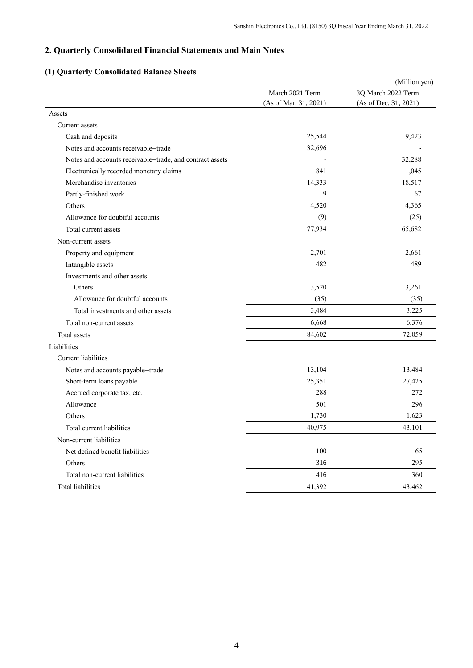# <span id="page-6-0"></span>**2. Quarterly Consolidated Financial Statements and Main Notes**

# <span id="page-6-1"></span>**(1) Quarterly Consolidated Balance Sheets**

|                                                          |                       | (Million yen)         |
|----------------------------------------------------------|-----------------------|-----------------------|
|                                                          | March 2021 Term       | 3Q March 2022 Term    |
|                                                          | (As of Mar. 31, 2021) | (As of Dec. 31, 2021) |
| Assets                                                   |                       |                       |
| Current assets                                           |                       |                       |
| Cash and deposits                                        | 25,544                | 9,423                 |
| Notes and accounts receivable–trade                      | 32,696                |                       |
| Notes and accounts receivable-trade, and contract assets |                       | 32,288                |
| Electronically recorded monetary claims                  | 841                   | 1,045                 |
| Merchandise inventories                                  | 14,333                | 18,517                |
| Partly-finished work                                     | 9                     | 67                    |
| Others                                                   | 4,520                 | 4,365                 |
| Allowance for doubtful accounts                          | (9)                   | (25)                  |
| Total current assets                                     | 77,934                | 65,682                |
| Non-current assets                                       |                       |                       |
| Property and equipment                                   | 2,701                 | 2,661                 |
| Intangible assets                                        | 482                   | 489                   |
| Investments and other assets                             |                       |                       |
| Others                                                   | 3,520                 | 3,261                 |
| Allowance for doubtful accounts                          | (35)                  | (35)                  |
| Total investments and other assets                       | 3,484                 | 3,225                 |
| Total non-current assets                                 | 6,668                 | 6,376                 |
| Total assets                                             | 84,602                | 72,059                |
| Liabilities                                              |                       |                       |
| <b>Current liabilities</b>                               |                       |                       |
| Notes and accounts payable-trade                         | 13,104                | 13,484                |
| Short-term loans payable                                 | 25,351                | 27,425                |
| Accrued corporate tax, etc.                              | 288                   | 272                   |
| Allowance                                                | 501                   | 296                   |
| Others                                                   | 1,730                 | 1,623                 |
| Total current liabilities                                | 40,975                | 43,101                |
| Non-current liabilities                                  |                       |                       |
| Net defined benefit liabilities                          | 100                   | 65                    |
| Others                                                   | 316                   | 295                   |
| Total non-current liabilities                            | 416                   | 360                   |
| Total liabilities                                        | 41,392                | 43,462                |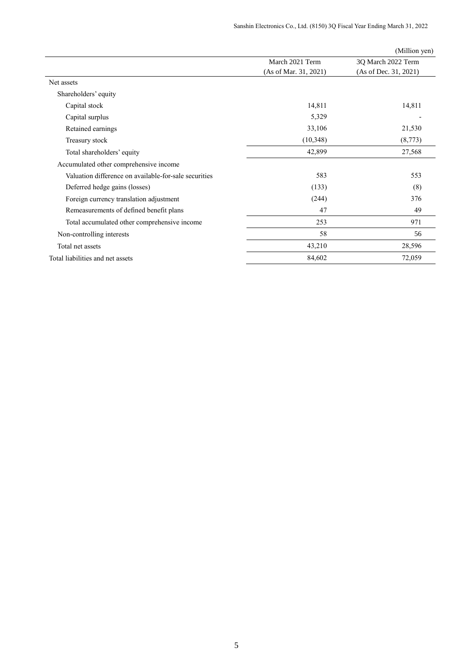|                                                       |                       | (Million yen)         |
|-------------------------------------------------------|-----------------------|-----------------------|
|                                                       | March 2021 Term       | 3Q March 2022 Term    |
|                                                       | (As of Mar. 31, 2021) | (As of Dec. 31, 2021) |
| Net assets                                            |                       |                       |
| Shareholders' equity                                  |                       |                       |
| Capital stock                                         | 14,811                | 14,811                |
| Capital surplus                                       | 5,329                 |                       |
| Retained earnings                                     | 33,106                | 21,530                |
| Treasury stock                                        | (10,348)              | (8,773)               |
| Total shareholders' equity                            | 42,899                | 27,568                |
| Accumulated other comprehensive income                |                       |                       |
| Valuation difference on available-for-sale securities | 583                   | 553                   |
| Deferred hedge gains (losses)                         | (133)                 | (8)                   |
| Foreign currency translation adjustment               | (244)                 | 376                   |
| Remeasurements of defined benefit plans               | 47                    | 49                    |
| Total accumulated other comprehensive income          | 253                   | 971                   |
| Non-controlling interests                             | 58                    | 56                    |
| Total net assets                                      | 43,210                | 28,596                |
| Total liabilities and net assets                      | 84,602                | 72,059                |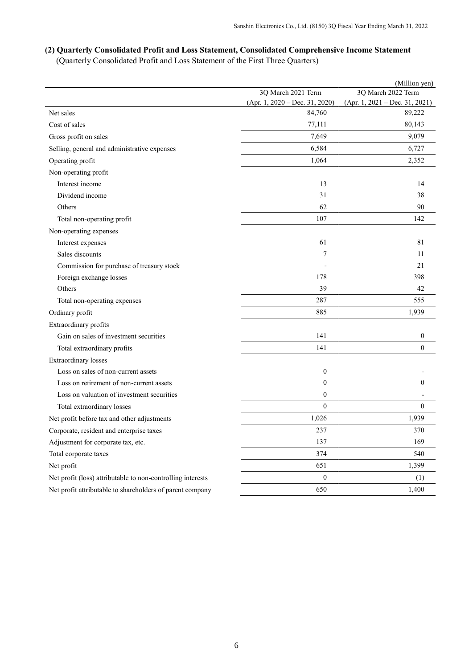# <span id="page-8-0"></span>**(2) Quarterly Consolidated Profit and Loss Statement, Consolidated Comprehensive Income Statement**

(Quarterly Consolidated Profit and Loss Statement of the First Three Quarters)

|                                                             |                                  | (Million yen)                    |
|-------------------------------------------------------------|----------------------------------|----------------------------------|
|                                                             | 3Q March 2021 Term               | 3Q March 2022 Term               |
|                                                             | $(Apr. 1, 2020 - Dec. 31, 2020)$ | $(Apr. 1, 2021 - Dec. 31, 2021)$ |
| Net sales                                                   | 84,760                           | 89,222                           |
| Cost of sales                                               | 77,111                           | 80,143                           |
| Gross profit on sales                                       | 7,649                            | 9,079                            |
| Selling, general and administrative expenses                | 6,584                            | 6,727                            |
| Operating profit                                            | 1,064                            | 2,352                            |
| Non-operating profit                                        |                                  |                                  |
| Interest income                                             | 13                               | 14                               |
| Dividend income                                             | 31                               | 38                               |
| Others                                                      | 62                               | 90                               |
| Total non-operating profit                                  | 107                              | 142                              |
| Non-operating expenses                                      |                                  |                                  |
| Interest expenses                                           | 61                               | 81                               |
| Sales discounts                                             | 7                                | 11                               |
| Commission for purchase of treasury stock                   |                                  | 21                               |
| Foreign exchange losses                                     | 178                              | 398                              |
| Others                                                      | 39                               | 42                               |
| Total non-operating expenses                                | 287                              | 555                              |
| Ordinary profit                                             | 885                              | 1,939                            |
| Extraordinary profits                                       |                                  |                                  |
| Gain on sales of investment securities                      | 141                              | $\boldsymbol{0}$                 |
| Total extraordinary profits                                 | 141                              | $\overline{0}$                   |
| <b>Extraordinary</b> losses                                 |                                  |                                  |
| Loss on sales of non-current assets                         | $\mathbf{0}$                     |                                  |
| Loss on retirement of non-current assets                    | $\theta$                         | $\overline{0}$                   |
| Loss on valuation of investment securities                  | $\mathbf{0}$                     |                                  |
| Total extraordinary losses                                  | $\theta$                         | $\theta$                         |
| Net profit before tax and other adjustments                 | 1,026                            | 1,939                            |
| Corporate, resident and enterprise taxes                    | 237                              | 370                              |
| Adjustment for corporate tax, etc.                          | 137                              | 169                              |
| Total corporate taxes                                       | 374                              | 540                              |
| Net profit                                                  | 651                              | 1,399                            |
| Net profit (loss) attributable to non-controlling interests | $\boldsymbol{0}$                 | (1)                              |
| Net profit attributable to shareholders of parent company   | 650                              | 1,400                            |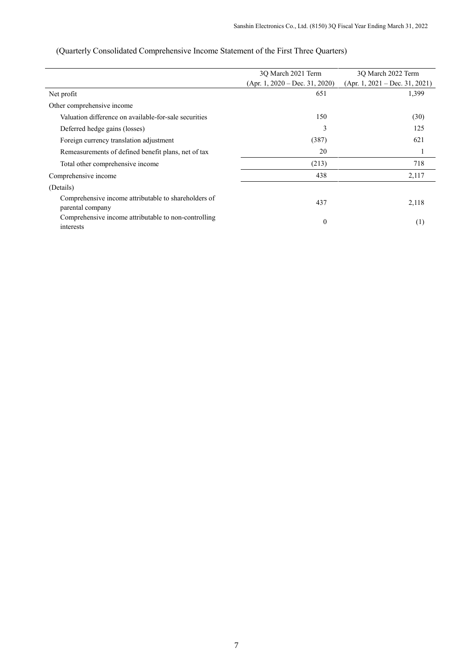|                                                                          | 3Q March 2021 Term               | 3Q March 2022 Term               |  |
|--------------------------------------------------------------------------|----------------------------------|----------------------------------|--|
|                                                                          | $(Apr. 1, 2020 - Dec. 31, 2020)$ | $(Apr. 1, 2021 - Dec. 31, 2021)$ |  |
| Net profit                                                               | 651                              | 1,399                            |  |
| Other comprehensive income                                               |                                  |                                  |  |
| Valuation difference on available-for-sale securities                    | 150                              | (30)                             |  |
| Deferred hedge gains (losses)                                            | 3                                | 125                              |  |
| Foreign currency translation adjustment                                  | (387)                            | 621                              |  |
| Remeasurements of defined benefit plans, net of tax                      | 20                               |                                  |  |
| Total other comprehensive income                                         | (213)                            | 718                              |  |
| Comprehensive income                                                     | 438                              | 2,117                            |  |
| (Details)                                                                |                                  |                                  |  |
| Comprehensive income attributable to shareholders of<br>parental company | 437                              | 2,118                            |  |
| Comprehensive income attributable to non-controlling<br>interests        | $\theta$                         | (1)                              |  |

# (Quarterly Consolidated Comprehensive Income Statement of the First Three Quarters)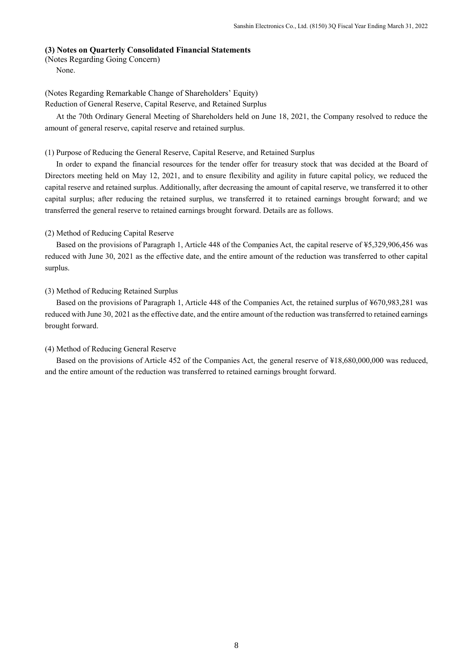## <span id="page-10-0"></span>**(3) Notes on Quarterly Consolidated Financial Statements**

<span id="page-10-1"></span>(Notes Regarding Going Concern)

None.

<span id="page-10-2"></span>(Notes Regarding Remarkable Change of Shareholders' Equity) Reduction of General Reserve, Capital Reserve, and Retained Surplus

At the 70th Ordinary General Meeting of Shareholders held on June 18, 2021, the Company resolved to reduce the amount of general reserve, capital reserve and retained surplus.

## (1) Purpose of Reducing the General Reserve, Capital Reserve, and Retained Surplus

In order to expand the financial resources for the tender offer for treasury stock that was decided at the Board of Directors meeting held on May 12, 2021, and to ensure flexibility and agility in future capital policy, we reduced the capital reserve and retained surplus. Additionally, after decreasing the amount of capital reserve, we transferred it to other capital surplus; after reducing the retained surplus, we transferred it to retained earnings brought forward; and we transferred the general reserve to retained earnings brought forward. Details are as follows.

## (2) Method of Reducing Capital Reserve

Based on the provisions of Paragraph 1, Article 448 of the Companies Act, the capital reserve of ¥5,329,906,456 was reduced with June 30, 2021 as the effective date, and the entire amount of the reduction was transferred to other capital surplus.

## (3) Method of Reducing Retained Surplus

Based on the provisions of Paragraph 1, Article 448 of the Companies Act, the retained surplus of ¥670,983,281 was reduced with June 30, 2021 as the effective date, and the entire amount of the reduction was transferred to retained earnings brought forward.

### (4) Method of Reducing General Reserve

Based on the provisions of Article 452 of the Companies Act, the general reserve of ¥18,680,000,000 was reduced, and the entire amount of the reduction was transferred to retained earnings brought forward.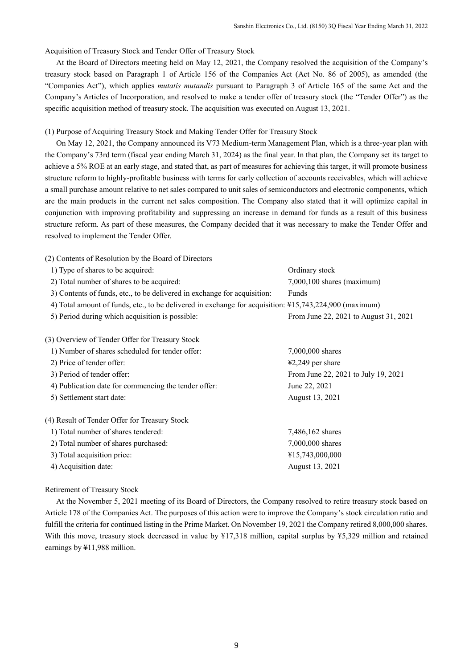Acquisition of Treasury Stock and Tender Offer of Treasury Stock

At the Board of Directors meeting held on May 12, 2021, the Company resolved the acquisition of the Company's treasury stock based on Paragraph 1 of Article 156 of the Companies Act (Act No. 86 of 2005), as amended (the "Companies Act"), which applies *mutatis mutandis* pursuant to Paragraph 3 of Article 165 of the same Act and the Company's Articles of Incorporation, and resolved to make a tender offer of treasury stock (the "Tender Offer") as the specific acquisition method of treasury stock. The acquisition was executed on August 13, 2021.

#### (1) Purpose of Acquiring Treasury Stock and Making Tender Offer for Treasury Stock

On May 12, 2021, the Company announced its V73 Medium-term Management Plan, which is a three-year plan with the Company's 73rd term (fiscal year ending March 31, 2024) as the final year. In that plan, the Company set its target to achieve a 5% ROE at an early stage, and stated that, as part of measures for achieving this target, it will promote business structure reform to highly-profitable business with terms for early collection of accounts receivables, which will achieve a small purchase amount relative to net sales compared to unit sales of semiconductors and electronic components, which are the main products in the current net sales composition. The Company also stated that it will optimize capital in conjunction with improving profitability and suppressing an increase in demand for funds as a result of this business structure reform. As part of these measures, the Company decided that it was necessary to make the Tender Offer and resolved to implement the Tender Offer.

(2) Contents of Resolution by the Board of Directors

| 1) Type of shares to be acquired:                                                                      | Ordinary stock                        |  |
|--------------------------------------------------------------------------------------------------------|---------------------------------------|--|
| 2) Total number of shares to be acquired:                                                              | $7,000,100$ shares (maximum)          |  |
| 3) Contents of funds, etc., to be delivered in exchange for acquisition:                               | Funds                                 |  |
| 4) Total amount of funds, etc., to be delivered in exchange for acquisition: ¥15,743,224,900 (maximum) |                                       |  |
| 5) Period during which acquisition is possible:                                                        | From June 22, 2021 to August 31, 2021 |  |
|                                                                                                        |                                       |  |
| (3) Overview of Tender Offer for Treasury Stock                                                        |                                       |  |
| 1) Number of shares scheduled for tender offer:                                                        | 7,000,000 shares                      |  |
| 2) Price of tender offer:                                                                              | $42,249$ per share                    |  |
| 3) Period of tender offer:                                                                             | From June 22, 2021 to July 19, 2021   |  |
| 4) Publication date for commencing the tender offer:                                                   | June 22, 2021                         |  |

5) Settlement start date: August 13, 2021

(4) Result of Tender Offer for Treasury Stock

| 1) Total number of shares tendered:  | 7,486,162 shares |
|--------------------------------------|------------------|
| 2) Total number of shares purchased: | 7,000,000 shares |
| 3) Total acquisition price:          | ¥15,743,000,000  |
| 4) Acquisition date:                 | August 13, 2021  |

### Retirement of Treasury Stock

At the November 5, 2021 meeting of its Board of Directors, the Company resolved to retire treasury stock based on Article 178 of the Companies Act. The purposes of this action were to improve the Company's stock circulation ratio and fulfill the criteria for continued listing in the Prime Market. On November 19, 2021 the Company retired 8,000,000 shares. With this move, treasury stock decreased in value by  $\frac{17,318}{1000}$  million, capital surplus by  $\frac{15,329}{1000}$  million and retained earnings by ¥11,988 million.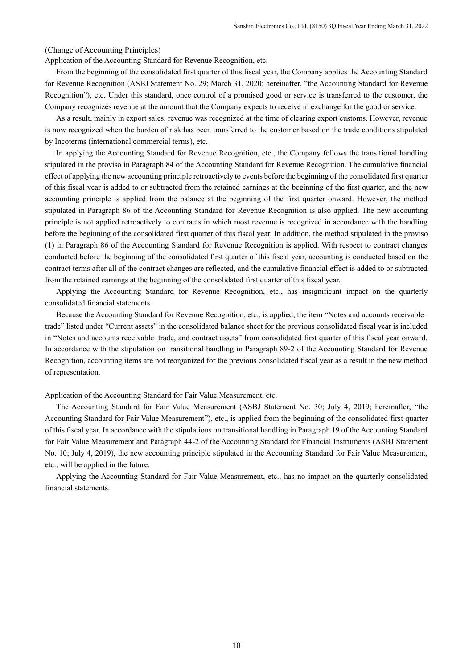### <span id="page-12-0"></span>(Change of Accounting Principles)

Application of the Accounting Standard for Revenue Recognition, etc.

From the beginning of the consolidated first quarter of this fiscal year, the Company applies the Accounting Standard for Revenue Recognition (ASBJ Statement No. 29; March 31, 2020; hereinafter, "the Accounting Standard for Revenue Recognition"), etc. Under this standard, once control of a promised good or service is transferred to the customer, the Company recognizes revenue at the amount that the Company expects to receive in exchange for the good or service.

As a result, mainly in export sales, revenue was recognized at the time of clearing export customs. However, revenue is now recognized when the burden of risk has been transferred to the customer based on the trade conditions stipulated by Incoterms (international commercial terms), etc.

In applying the Accounting Standard for Revenue Recognition, etc., the Company follows the transitional handling stipulated in the proviso in Paragraph 84 of the Accounting Standard for Revenue Recognition. The cumulative financial effect of applying the new accounting principle retroactively to events before the beginning of the consolidated first quarter of this fiscal year is added to or subtracted from the retained earnings at the beginning of the first quarter, and the new accounting principle is applied from the balance at the beginning of the first quarter onward. However, the method stipulated in Paragraph 86 of the Accounting Standard for Revenue Recognition is also applied. The new accounting principle is not applied retroactively to contracts in which most revenue is recognized in accordance with the handling before the beginning of the consolidated first quarter of this fiscal year. In addition, the method stipulated in the proviso (1) in Paragraph 86 of the Accounting Standard for Revenue Recognition is applied. With respect to contract changes conducted before the beginning of the consolidated first quarter of this fiscal year, accounting is conducted based on the contract terms after all of the contract changes are reflected, and the cumulative financial effect is added to or subtracted from the retained earnings at the beginning of the consolidated first quarter of this fiscal year.

Applying the Accounting Standard for Revenue Recognition, etc., has insignificant impact on the quarterly consolidated financial statements.

Because the Accounting Standard for Revenue Recognition, etc., is applied, the item "Notes and accounts receivable– trade" listed under "Current assets" in the consolidated balance sheet for the previous consolidated fiscal year is included in "Notes and accounts receivable–trade, and contract assets" from consolidated first quarter of this fiscal year onward. In accordance with the stipulation on transitional handling in Paragraph 89-2 of the Accounting Standard for Revenue Recognition, accounting items are not reorganized for the previous consolidated fiscal year as a result in the new method of representation.

Application of the Accounting Standard for Fair Value Measurement, etc.

The Accounting Standard for Fair Value Measurement (ASBJ Statement No. 30; July 4, 2019; hereinafter, "the Accounting Standard for Fair Value Measurement"), etc., is applied from the beginning of the consolidated first quarter of this fiscal year. In accordance with the stipulations on transitional handling in Paragraph 19 of the Accounting Standard for Fair Value Measurement and Paragraph 44-2 of the Accounting Standard for Financial Instruments (ASBJ Statement No. 10; July 4, 2019), the new accounting principle stipulated in the Accounting Standard for Fair Value Measurement, etc., will be applied in the future.

Applying the Accounting Standard for Fair Value Measurement, etc., has no impact on the quarterly consolidated financial statements.